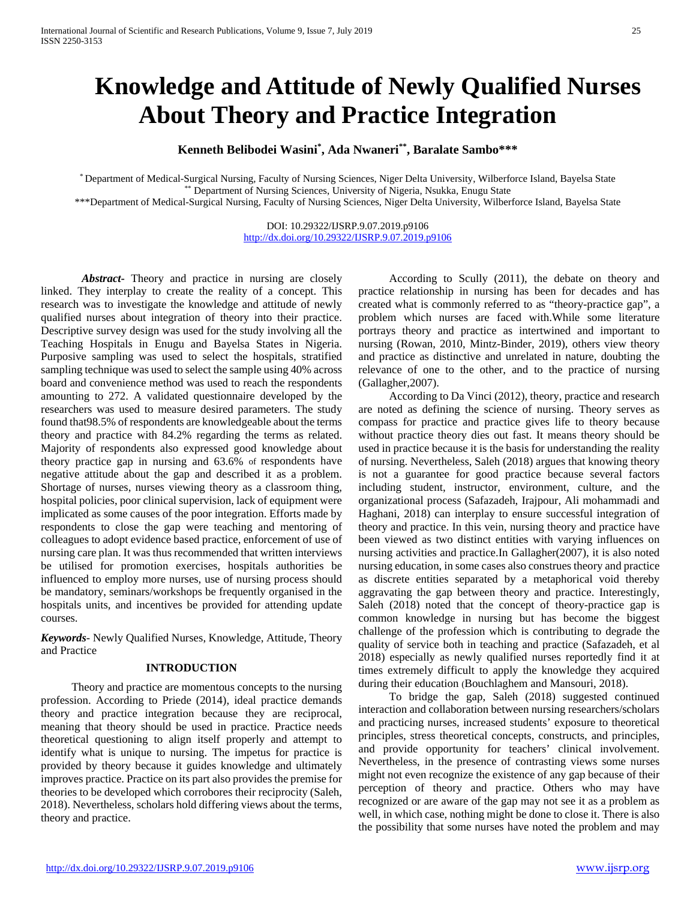# **Knowledge and Attitude of Newly Qualified Nurses About Theory and Practice Integration**

**Kenneth Belibodei Wasini\* , Ada Nwaneri\*\*, Baralate Sambo\*\*\***

\* Department of Medical-Surgical Nursing, Faculty of Nursing Sciences, Niger Delta University, Wilberforce Island, Bayelsa State \*\* Department of Nursing Sciences, University of Nigeria, Nsukka, Enugu State

\*\*\*Department of Medical-Surgical Nursing, Faculty of Nursing Sciences, Niger Delta University, Wilberforce Island, Bayelsa State

DOI: 10.29322/IJSRP.9.07.2019.p9106 <http://dx.doi.org/10.29322/IJSRP.9.07.2019.p9106>

*Abstract***-** Theory and practice in nursing are closely linked. They interplay to create the reality of a concept. This research was to investigate the knowledge and attitude of newly qualified nurses about integration of theory into their practice. Descriptive survey design was used for the study involving all the Teaching Hospitals in Enugu and Bayelsa States in Nigeria. Purposive sampling was used to select the hospitals, stratified sampling technique was used to select the sample using 40% across board and convenience method was used to reach the respondents amounting to 272. A validated questionnaire developed by the researchers was used to measure desired parameters. The study found that98.5% of respondents are knowledgeable about the terms theory and practice with 84.2% regarding the terms as related. Majority of respondents also expressed good knowledge about theory practice gap in nursing and 63.6% of respondents have negative attitude about the gap and described it as a problem. Shortage of nurses, nurses viewing theory as a classroom thing, hospital policies, poor clinical supervision, lack of equipment were implicated as some causes of the poor integration. Efforts made by respondents to close the gap were teaching and mentoring of colleagues to adopt evidence based practice, enforcement of use of nursing care plan. It was thus recommended that written interviews be utilised for promotion exercises, hospitals authorities be influenced to employ more nurses, use of nursing process should be mandatory, seminars/workshops be frequently organised in the hospitals units, and incentives be provided for attending update courses.

*Keywords*- Newly Qualified Nurses, Knowledge, Attitude, Theory and Practice

#### **INTRODUCTION**

Theory and practice are momentous concepts to the nursing profession. According to Priede (2014), ideal practice demands theory and practice integration because they are reciprocal, meaning that theory should be used in practice. Practice needs theoretical questioning to align itself properly and attempt to identify what is unique to nursing. The impetus for practice is provided by theory because it guides knowledge and ultimately improves practice. Practice on its part also provides the premise for theories to be developed which corrobores their reciprocity (Saleh, 2018). Nevertheless, scholars hold differing views about the terms, theory and practice.

According to Scully (2011), the debate on theory and practice relationship in nursing has been for decades and has created what is commonly referred to as "theory-practice gap", a problem which nurses are faced with.While some literature portrays theory and practice as intertwined and important to nursing (Rowan, 2010, Mintz-Binder, 2019), others view theory and practice as distinctive and unrelated in nature, doubting the relevance of one to the other, and to the practice of nursing (Gallagher,2007).

According to Da Vinci (2012), theory, practice and research are noted as defining the science of nursing. Theory serves as compass for practice and practice gives life to theory because without practice theory dies out fast. It means theory should be used in practice because it is the basis for understanding the reality of nursing. Nevertheless, Saleh (2018) argues that knowing theory is not a guarantee for good practice because several factors including student, instructor, environment, culture, and the organizational process (Safazadeh, Irajpour, Ali mohammadi and Haghani, 2018) can interplay to ensure successful integration of theory and practice. In this vein, nursing theory and practice have been viewed as two distinct entities with varying influences on nursing activities and practice.In Gallagher(2007), it is also noted nursing education, in some cases also construes theory and practice as discrete entities separated by a metaphorical void thereby aggravating the gap between theory and practice. Interestingly, Saleh (2018) noted that the concept of theory-practice gap is common knowledge in nursing but has become the biggest challenge of the profession which is contributing to degrade the quality of service both in teaching and practice (Safazadeh, et al 2018) especially as newly qualified nurses reportedly find it at times extremely difficult to apply the knowledge they acquired during their education (Bouchlaghem and Mansouri, 2018).

To bridge the gap, Saleh (2018) suggested continued interaction and collaboration between nursing researchers/scholars and practicing nurses, increased students' exposure to theoretical principles, stress theoretical concepts, constructs, and principles, and provide opportunity for teachers' clinical involvement. Nevertheless, in the presence of contrasting views some nurses might not even recognize the existence of any gap because of their perception of theory and practice. Others who may have recognized or are aware of the gap may not see it as a problem as well, in which case, nothing might be done to close it. There is also the possibility that some nurses have noted the problem and may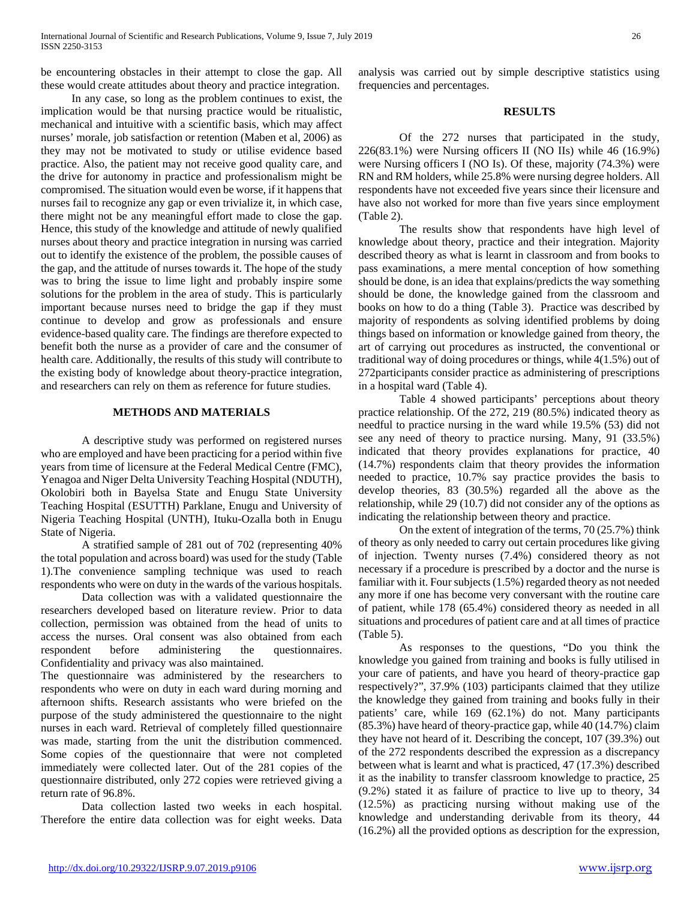be encountering obstacles in their attempt to close the gap. All these would create attitudes about theory and practice integration.

In any case, so long as the problem continues to exist, the implication would be that nursing practice would be ritualistic, mechanical and intuitive with a scientific basis, which may affect nurses' morale, job satisfaction or retention (Maben et al, 2006) as they may not be motivated to study or utilise evidence based practice. Also, the patient may not receive good quality care, and the drive for autonomy in practice and professionalism might be compromised. The situation would even be worse, if it happens that nurses fail to recognize any gap or even trivialize it, in which case, there might not be any meaningful effort made to close the gap. Hence, this study of the knowledge and attitude of newly qualified nurses about theory and practice integration in nursing was carried out to identify the existence of the problem, the possible causes of the gap, and the attitude of nurses towards it. The hope of the study was to bring the issue to lime light and probably inspire some solutions for the problem in the area of study. This is particularly important because nurses need to bridge the gap if they must continue to develop and grow as professionals and ensure evidence-based quality care. The findings are therefore expected to benefit both the nurse as a provider of care and the consumer of health care. Additionally, the results of this study will contribute to the existing body of knowledge about theory-practice integration, and researchers can rely on them as reference for future studies.

#### **METHODS AND MATERIALS**

A descriptive study was performed on registered nurses who are employed and have been practicing for a period within five years from time of licensure at the Federal Medical Centre (FMC), Yenagoa and Niger Delta University Teaching Hospital (NDUTH), Okolobiri both in Bayelsa State and Enugu State University Teaching Hospital (ESUTTH) Parklane, Enugu and University of Nigeria Teaching Hospital (UNTH), Ituku-Ozalla both in Enugu State of Nigeria.

A stratified sample of 281 out of 702 (representing 40% the total population and across board) was used for the study (Table 1).The convenience sampling technique was used to reach respondents who were on duty in the wards of the various hospitals.

Data collection was with a validated questionnaire the researchers developed based on literature review. Prior to data collection, permission was obtained from the head of units to access the nurses. Oral consent was also obtained from each respondent before administering the questionnaires. Confidentiality and privacy was also maintained.

The questionnaire was administered by the researchers to respondents who were on duty in each ward during morning and afternoon shifts. Research assistants who were briefed on the purpose of the study administered the questionnaire to the night nurses in each ward. Retrieval of completely filled questionnaire was made, starting from the unit the distribution commenced. Some copies of the questionnaire that were not completed immediately were collected later. Out of the 281 copies of the questionnaire distributed, only 272 copies were retrieved giving a return rate of 96.8%.

Data collection lasted two weeks in each hospital. Therefore the entire data collection was for eight weeks. Data analysis was carried out by simple descriptive statistics using frequencies and percentages.

#### **RESULTS**

Of the 272 nurses that participated in the study, 226(83.1%) were Nursing officers II (NO IIs) while 46 (16.9%) were Nursing officers I (NO Is). Of these, majority (74.3%) were RN and RM holders, while 25.8% were nursing degree holders. All respondents have not exceeded five years since their licensure and have also not worked for more than five years since employment (Table 2).

The results show that respondents have high level of knowledge about theory, practice and their integration. Majority described theory as what is learnt in classroom and from books to pass examinations, a mere mental conception of how something should be done, is an idea that explains/predicts the way something should be done, the knowledge gained from the classroom and books on how to do a thing (Table 3). Practice was described by majority of respondents as solving identified problems by doing things based on information or knowledge gained from theory, the art of carrying out procedures as instructed, the conventional or traditional way of doing procedures or things, while 4(1.5%) out of 272participants consider practice as administering of prescriptions in a hospital ward (Table 4).

Table 4 showed participants' perceptions about theory practice relationship. Of the 272, 219 (80.5%) indicated theory as needful to practice nursing in the ward while 19.5% (53) did not see any need of theory to practice nursing. Many, 91 (33.5%) indicated that theory provides explanations for practice, 40 (14.7%) respondents claim that theory provides the information needed to practice, 10.7% say practice provides the basis to develop theories, 83 (30.5%) regarded all the above as the relationship, while 29 (10.7) did not consider any of the options as indicating the relationship between theory and practice.

On the extent of integration of the terms, 70 (25.7%) think of theory as only needed to carry out certain procedures like giving of injection. Twenty nurses (7.4%) considered theory as not necessary if a procedure is prescribed by a doctor and the nurse is familiar with it. Four subjects (1.5%) regarded theory as not needed any more if one has become very conversant with the routine care of patient, while 178 (65.4%) considered theory as needed in all situations and procedures of patient care and at all times of practice (Table 5).

As responses to the questions, "Do you think the knowledge you gained from training and books is fully utilised in your care of patients, and have you heard of theory-practice gap respectively?", 37.9% (103) participants claimed that they utilize the knowledge they gained from training and books fully in their patients' care, while 169 (62.1%) do not. Many participants (85.3%) have heard of theory-practice gap, while 40 (14.7%) claim they have not heard of it. Describing the concept, 107 (39.3%) out of the 272 respondents described the expression as a discrepancy between what is learnt and what is practiced, 47 (17.3%) described it as the inability to transfer classroom knowledge to practice, 25 (9.2%) stated it as failure of practice to live up to theory, 34 (12.5%) as practicing nursing without making use of the knowledge and understanding derivable from its theory, 44 (16.2%) all the provided options as description for the expression,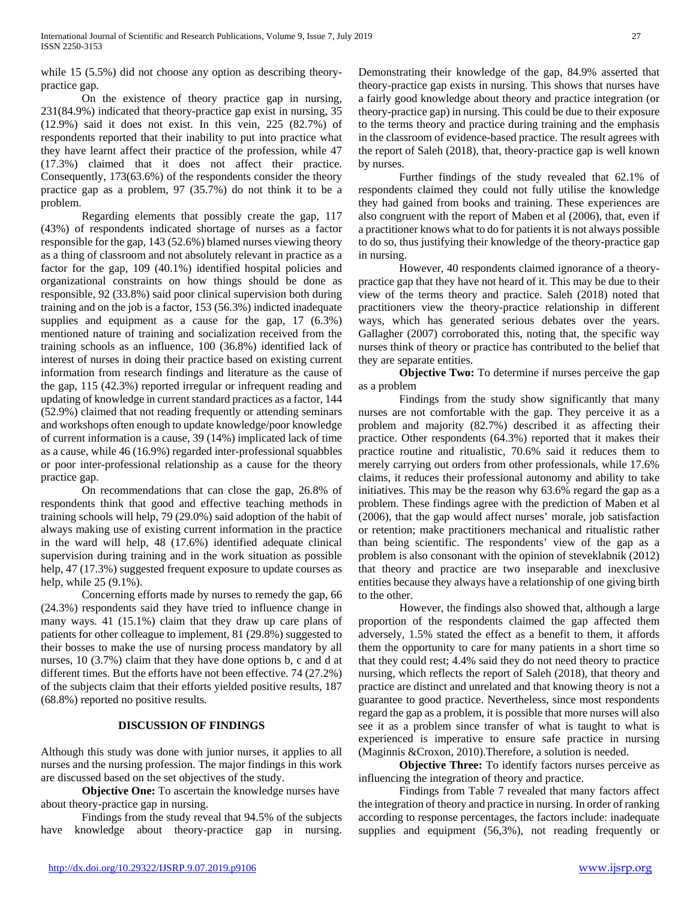while 15 (5.5%) did not choose any option as describing theorypractice gap.

On the existence of theory practice gap in nursing, 231(84.9%) indicated that theory-practice gap exist in nursing, 35 (12.9%) said it does not exist. In this vein, 225 (82.7%) of respondents reported that their inability to put into practice what they have learnt affect their practice of the profession, while 47 (17.3%) claimed that it does not affect their practice. Consequently, 173(63.6%) of the respondents consider the theory practice gap as a problem, 97 (35.7%) do not think it to be a problem.

Regarding elements that possibly create the gap, 117 (43%) of respondents indicated shortage of nurses as a factor responsible for the gap, 143 (52.6%) blamed nurses viewing theory as a thing of classroom and not absolutely relevant in practice as a factor for the gap, 109 (40.1%) identified hospital policies and organizational constraints on how things should be done as responsible, 92 (33.8%) said poor clinical supervision both during training and on the job is a factor, 153 (56.3%) indicted inadequate supplies and equipment as a cause for the gap, 17 (6.3%) mentioned nature of training and socialization received from the training schools as an influence, 100 (36.8%) identified lack of interest of nurses in doing their practice based on existing current information from research findings and literature as the cause of the gap, 115 (42.3%) reported irregular or infrequent reading and updating of knowledge in current standard practices as a factor, 144 (52.9%) claimed that not reading frequently or attending seminars and workshops often enough to update knowledge/poor knowledge of current information is a cause, 39 (14%) implicated lack of time as a cause, while 46 (16.9%) regarded inter-professional squabbles or poor inter-professional relationship as a cause for the theory practice gap.

On recommendations that can close the gap, 26.8% of respondents think that good and effective teaching methods in training schools will help, 79 (29.0%) said adoption of the habit of always making use of existing current information in the practice in the ward will help, 48 (17.6%) identified adequate clinical supervision during training and in the work situation as possible help, 47 (17.3%) suggested frequent exposure to update courses as help, while 25 (9.1%).

Concerning efforts made by nurses to remedy the gap, 66 (24.3%) respondents said they have tried to influence change in many ways. 41 (15.1%) claim that they draw up care plans of patients for other colleague to implement, 81 (29.8%) suggested to their bosses to make the use of nursing process mandatory by all nurses, 10 (3.7%) claim that they have done options b, c and d at different times. But the efforts have not been effective. 74 (27.2%) of the subjects claim that their efforts yielded positive results, 187 (68.8%) reported no positive results.

#### **DISCUSSION OF FINDINGS**

Although this study was done with junior nurses, it applies to all nurses and the nursing profession. The major findings in this work are discussed based on the set objectives of the study.

**Objective One:** To ascertain the knowledge nurses have about theory-practice gap in nursing.

Findings from the study reveal that 94.5% of the subjects have knowledge about theory-practice gap in nursing.

Demonstrating their knowledge of the gap, 84.9% asserted that theory-practice gap exists in nursing. This shows that nurses have a fairly good knowledge about theory and practice integration (or theory-practice gap) in nursing. This could be due to their exposure to the terms theory and practice during training and the emphasis in the classroom of evidence-based practice. The result agrees with the report of Saleh (2018), that, theory-practice gap is well known by nurses.

Further findings of the study revealed that 62.1% of respondents claimed they could not fully utilise the knowledge they had gained from books and training. These experiences are also congruent with the report of Maben et al (2006), that, even if a practitioner knows what to do for patients it is not always possible to do so, thus justifying their knowledge of the theory-practice gap in nursing.

However, 40 respondents claimed ignorance of a theorypractice gap that they have not heard of it. This may be due to their view of the terms theory and practice. Saleh (2018) noted that practitioners view the theory-practice relationship in different ways, which has generated serious debates over the years. Gallagher (2007) corroborated this, noting that, the specific way nurses think of theory or practice has contributed to the belief that they are separate entities.

**Objective Two:** To determine if nurses perceive the gap as a problem

Findings from the study show significantly that many nurses are not comfortable with the gap. They perceive it as a problem and majority (82.7%) described it as affecting their practice. Other respondents (64.3%) reported that it makes their practice routine and ritualistic, 70.6% said it reduces them to merely carrying out orders from other professionals, while 17.6% claims, it reduces their professional autonomy and ability to take initiatives. This may be the reason why 63.6% regard the gap as a problem. These findings agree with the prediction of Maben et al (2006), that the gap would affect nurses' morale, job satisfaction or retention; make practitioners mechanical and ritualistic rather than being scientific. The respondents' view of the gap as a problem is also consonant with the opinion of steveklabnik (2012) that theory and practice are two inseparable and inexclusive entities because they always have a relationship of one giving birth to the other.

However, the findings also showed that, although a large proportion of the respondents claimed the gap affected them adversely, 1.5% stated the effect as a benefit to them, it affords them the opportunity to care for many patients in a short time so that they could rest; 4.4% said they do not need theory to practice nursing, which reflects the report of Saleh (2018), that theory and practice are distinct and unrelated and that knowing theory is not a guarantee to good practice. Nevertheless, since most respondents regard the gap as a problem, it is possible that more nurses will also see it as a problem since transfer of what is taught to what is experienced is imperative to ensure safe practice in nursing (Maginnis &Croxon, 2010).Therefore, a solution is needed.

**Objective Three:** To identify factors nurses perceive as influencing the integration of theory and practice.

Findings from Table 7 revealed that many factors affect the integration of theory and practice in nursing. In order of ranking according to response percentages, the factors include: inadequate supplies and equipment (56,3%), not reading frequently or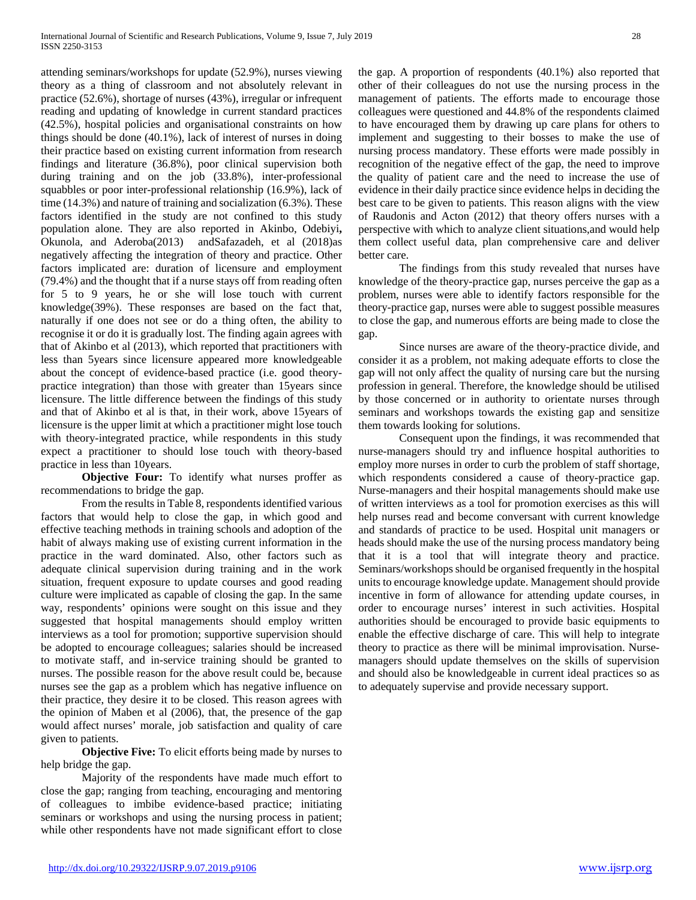attending seminars/workshops for update (52.9%), nurses viewing theory as a thing of classroom and not absolutely relevant in practice (52.6%), shortage of nurses (43%), irregular or infrequent reading and updating of knowledge in current standard practices (42.5%), hospital policies and organisational constraints on how things should be done (40.1%), lack of interest of nurses in doing their practice based on existing current information from research findings and literature (36.8%), poor clinical supervision both during training and on the job (33.8%), inter-professional squabbles or poor inter-professional relationship (16.9%), lack of time (14.3%) and nature of training and socialization (6.3%). These factors identified in the study are not confined to this study population alone. They are also reported in Akinbo, Odebiyi**,** Okunola, and Aderoba(2013) andSafazadeh, et al (2018)as negatively affecting the integration of theory and practice. Other factors implicated are: duration of licensure and employment (79.4%) and the thought that if a nurse stays off from reading often for 5 to 9 years, he or she will lose touch with current knowledge(39%). These responses are based on the fact that, naturally if one does not see or do a thing often, the ability to recognise it or do it is gradually lost. The finding again agrees with that of Akinbo et al (2013), which reported that practitioners with less than 5years since licensure appeared more knowledgeable about the concept of evidence-based practice (i.e. good theorypractice integration) than those with greater than 15years since licensure. The little difference between the findings of this study and that of Akinbo et al is that, in their work, above 15years of licensure is the upper limit at which a practitioner might lose touch with theory-integrated practice, while respondents in this study expect a practitioner to should lose touch with theory-based practice in less than 10years.

**Objective Four:** To identify what nurses proffer as recommendations to bridge the gap.

From the results in Table 8, respondents identified various factors that would help to close the gap, in which good and effective teaching methods in training schools and adoption of the habit of always making use of existing current information in the practice in the ward dominated. Also, other factors such as adequate clinical supervision during training and in the work situation, frequent exposure to update courses and good reading culture were implicated as capable of closing the gap. In the same way, respondents' opinions were sought on this issue and they suggested that hospital managements should employ written interviews as a tool for promotion; supportive supervision should be adopted to encourage colleagues; salaries should be increased to motivate staff, and in-service training should be granted to nurses. The possible reason for the above result could be, because nurses see the gap as a problem which has negative influence on their practice, they desire it to be closed. This reason agrees with the opinion of Maben et al (2006), that, the presence of the gap would affect nurses' morale, job satisfaction and quality of care given to patients.

**Objective Five:** To elicit efforts being made by nurses to help bridge the gap.

Majority of the respondents have made much effort to close the gap; ranging from teaching, encouraging and mentoring of colleagues to imbibe evidence-based practice; initiating seminars or workshops and using the nursing process in patient; while other respondents have not made significant effort to close

the gap. A proportion of respondents (40.1%) also reported that other of their colleagues do not use the nursing process in the management of patients. The efforts made to encourage those colleagues were questioned and 44.8% of the respondents claimed to have encouraged them by drawing up care plans for others to implement and suggesting to their bosses to make the use of nursing process mandatory. These efforts were made possibly in recognition of the negative effect of the gap, the need to improve the quality of patient care and the need to increase the use of evidence in their daily practice since evidence helps in deciding the best care to be given to patients. This reason aligns with the view of Raudonis and Acton (2012) that theory offers nurses with a perspective with which to analyze client situations,and would help them collect useful data, plan comprehensive care and deliver better care.

The findings from this study revealed that nurses have knowledge of the theory-practice gap, nurses perceive the gap as a problem, nurses were able to identify factors responsible for the theory-practice gap, nurses were able to suggest possible measures to close the gap, and numerous efforts are being made to close the gap.

Since nurses are aware of the theory-practice divide, and consider it as a problem, not making adequate efforts to close the gap will not only affect the quality of nursing care but the nursing profession in general. Therefore, the knowledge should be utilised by those concerned or in authority to orientate nurses through seminars and workshops towards the existing gap and sensitize them towards looking for solutions.

Consequent upon the findings, it was recommended that nurse-managers should try and influence hospital authorities to employ more nurses in order to curb the problem of staff shortage, which respondents considered a cause of theory-practice gap. Nurse-managers and their hospital managements should make use of written interviews as a tool for promotion exercises as this will help nurses read and become conversant with current knowledge and standards of practice to be used. Hospital unit managers or heads should make the use of the nursing process mandatory being that it is a tool that will integrate theory and practice. Seminars/workshops should be organised frequently in the hospital units to encourage knowledge update. Management should provide incentive in form of allowance for attending update courses, in order to encourage nurses' interest in such activities. Hospital authorities should be encouraged to provide basic equipments to enable the effective discharge of care. This will help to integrate theory to practice as there will be minimal improvisation. Nursemanagers should update themselves on the skills of supervision and should also be knowledgeable in current ideal practices so as to adequately supervise and provide necessary support.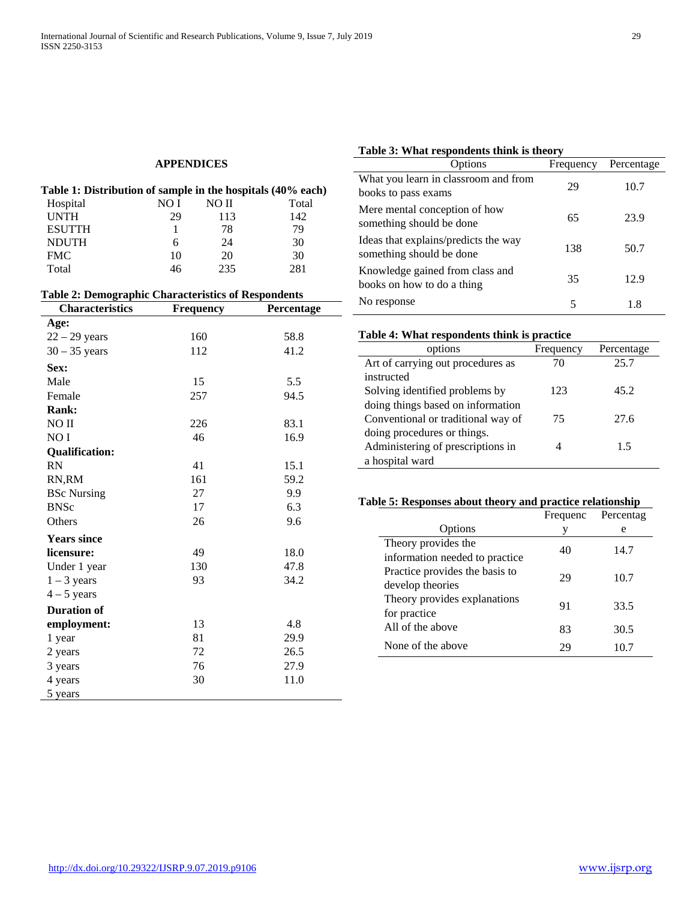## **APPENDICES**

| Table 1: Distribution of sample in the hospitals (40% each) |      |       |       |
|-------------------------------------------------------------|------|-------|-------|
| Hospital                                                    | NO I | NO II | Total |
| <b>UNTH</b>                                                 | 29   | 113   | 142   |
| <b>ESUTTH</b>                                               |      | 78    | 79    |
| <b>NDUTH</b>                                                |      | 24    | 30    |
| <b>FMC</b>                                                  | 10   | 20    | 30    |
| Total                                                       | 46   | 235   | 281   |

| <b>Table 2: Demographic Characteristics of Respondents</b> |                  |            |  |  |
|------------------------------------------------------------|------------------|------------|--|--|
| <b>Characteristics</b>                                     | <b>Frequency</b> | Percentage |  |  |
| Age:                                                       |                  |            |  |  |
| $22 - 29$ years                                            | 160              | 58.8       |  |  |
| $30 - 35$ years                                            | 112              | 41.2       |  |  |
| Sex:                                                       |                  |            |  |  |
| Male                                                       | 15               | 5.5        |  |  |
| Female                                                     | 257              | 94.5       |  |  |
| Rank:                                                      |                  |            |  |  |
| NO II                                                      | 226              | 83.1       |  |  |
| NO I                                                       | 46               | 16.9       |  |  |
| <b>Qualification:</b>                                      |                  |            |  |  |
| RN                                                         | 41               | 15.1       |  |  |
| RN,RM                                                      | 161              | 59.2       |  |  |
| <b>BSc Nursing</b>                                         | 27               | 9.9        |  |  |
| <b>BNSc</b>                                                | 17               | 6.3        |  |  |
| Others                                                     | 26               | 9.6        |  |  |
| <b>Years since</b>                                         |                  |            |  |  |
| licensure:                                                 | 49               | 18.0       |  |  |
| Under 1 year                                               | 130              | 47.8       |  |  |
| $1 - 3$ years                                              | 93               | 34.2       |  |  |
| $4-5$ years                                                |                  |            |  |  |
| <b>Duration of</b>                                         |                  |            |  |  |
| employment:                                                | 13               | 4.8        |  |  |
| 1 year                                                     | 81               | 29.9       |  |  |
| 2 years                                                    | 72               | 26.5       |  |  |
| 3 years                                                    | 76               | 27.9       |  |  |
| 4 years                                                    | 30               | 11.0       |  |  |
| 5 years                                                    |                  |            |  |  |

### **Table 3: What respondents think is theory**

| Options                                                          | Frequency | Percentage |
|------------------------------------------------------------------|-----------|------------|
| What you learn in classroom and from<br>books to pass exams      | 29        | 10.7       |
| Mere mental conception of how<br>something should be done        | 65        | 23.9       |
| Ideas that explains/predicts the way<br>something should be done | 138       | 50.7       |
| Knowledge gained from class and<br>books on how to do a thing    | 35        | 12.9       |
| No response                                                      | 5         | 1.8        |

### **Table 4: What respondents think is practice**

| options                            | Frequency | Percentage |
|------------------------------------|-----------|------------|
| Art of carrying out procedures as  | 70        | 25.7       |
| instructed                         |           |            |
| Solving identified problems by     | 123       | 45.2       |
| doing things based on information  |           |            |
| Conventional or traditional way of | 75        | 27.6       |
| doing procedures or things.        |           |            |
| Administering of prescriptions in  |           | 15         |
| a hospital ward                    |           |            |

#### **Table 5: Responses about theory and practice relationship**

|                                                                  | Frequenc | Percentag |
|------------------------------------------------------------------|----------|-----------|
| Options                                                          | V        | e         |
| Theory provides the                                              | 40       | 14.7      |
| information needed to practice<br>Practice provides the basis to |          |           |
| develop theories                                                 | 29       | 10.7      |
| Theory provides explanations<br>for practice                     | 91       | 33.5      |
| All of the above                                                 | 83       | 30.5      |
| None of the above                                                | 29       | 10.7      |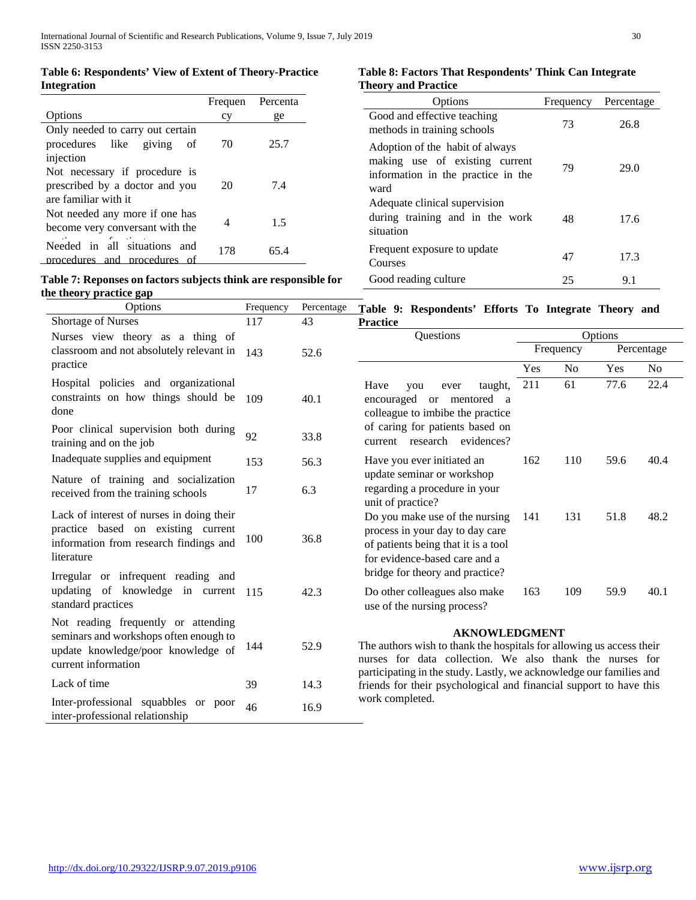#### **Table 6: Respondents' View of Extent of Theory-Practice Integration**

#### Options Frequen cy Percenta ge Only needed to carry out certain procedures like giving of injection 70 25.7 Not necessary if procedure is prescribed by a doctor and you are familiar with it 20 7.4 Not needed any more if one has become very conversant with the Needed in all situations and 4 1.5 procedures and procedures of 178 65.4

# **Table 7: Reponses on factors subjects think are responsible for the theory practice gap**

 $\ddot{\phantom{a}}$ 

#### **Table 8: Factors That Respondents' Think Can Integrate Theory and Practice**

| Options                                                                                                         | Frequency | Percentage |
|-----------------------------------------------------------------------------------------------------------------|-----------|------------|
| Good and effective teaching<br>methods in training schools                                                      | 73        | 26.8       |
| Adoption of the habit of always<br>making use of existing current<br>information in the practice in the<br>ward | 79        | 29.0       |
| Adequate clinical supervision<br>during training and in the work<br>situation                                   | 48        | 17.6       |
| Frequent exposure to update<br>Courses                                                                          | 47        | 17.3       |
| Good reading culture                                                                                            | 25        | 9.1        |

| Options                                                                                                                                    | Frequency | Percentage | Table 9: Respondents' Efforts To Integrate Theory and                                                                                                                                                                           |     |           |         |                |
|--------------------------------------------------------------------------------------------------------------------------------------------|-----------|------------|---------------------------------------------------------------------------------------------------------------------------------------------------------------------------------------------------------------------------------|-----|-----------|---------|----------------|
| Shortage of Nurses                                                                                                                         | 117       | 43         | <b>Practice</b>                                                                                                                                                                                                                 |     |           |         |                |
| Nurses view theory as a thing of                                                                                                           |           |            | Questions                                                                                                                                                                                                                       |     |           | Options |                |
| classroom and not absolutely relevant in                                                                                                   | 143       | 52.6       |                                                                                                                                                                                                                                 |     | Frequency |         | Percentage     |
| practice                                                                                                                                   |           |            |                                                                                                                                                                                                                                 | Yes | No        | Yes     | N <sub>o</sub> |
| Hospital policies and organizational<br>constraints on how things should be<br>done                                                        | 109       | 40.1       | Have<br>taught,<br>you<br>ever<br>encouraged or mentored a<br>colleague to imbibe the practice                                                                                                                                  | 211 | 61        | 77.6    | 22.4           |
| Poor clinical supervision both during<br>training and on the job                                                                           | 92        | 33.8       | of caring for patients based on<br>current research evidences?                                                                                                                                                                  |     |           |         |                |
| Inadequate supplies and equipment                                                                                                          | 153       | 56.3       | Have you ever initiated an                                                                                                                                                                                                      | 162 | 110       | 59.6    | 40.4           |
| Nature of training and socialization<br>received from the training schools                                                                 | 17        | 6.3        | update seminar or workshop<br>regarding a procedure in your<br>unit of practice?                                                                                                                                                |     |           |         |                |
| Lack of interest of nurses in doing their<br>practice based on existing current<br>information from research findings and<br>literature    | 100       | 36.8       | Do you make use of the nursing<br>process in your day to day care<br>of patients being that it is a tool<br>for evidence-based care and a                                                                                       | 141 | 131       | 51.8    | 48.2           |
| Irregular or infrequent reading and<br>updating of knowledge in current<br>standard practices                                              | 115       | 42.3       | bridge for theory and practice?<br>Do other colleagues also make<br>use of the nursing process?                                                                                                                                 | 163 | 109       | 59.9    | 40.1           |
| Not reading frequently or attending<br>seminars and workshops often enough to<br>update knowledge/poor knowledge of<br>current information | 144       | 52.9       | <b>AKNOWLEDGMENT</b><br>The authors wish to thank the hospitals for allowing us access their<br>nurses for data collection. We also thank the nurses for<br>participating in the study. Lastly, we acknowledge our families and |     |           |         |                |
| Lack of time                                                                                                                               | 39        | 14.3       | friends for their psychological and financial support to have this                                                                                                                                                              |     |           |         |                |
| Inter-professional squabbles or poor<br>inter-professional relationship                                                                    | 46        | 16.9       | work completed.                                                                                                                                                                                                                 |     |           |         |                |